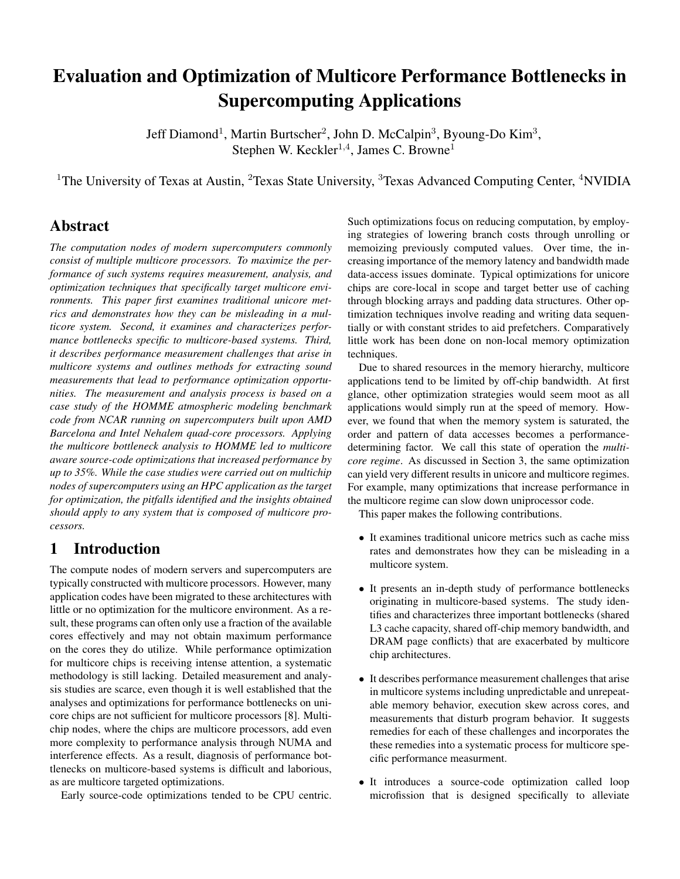# Evaluation and Optimization of Multicore Performance Bottlenecks in Supercomputing Applications

Jeff Diamond<sup>1</sup>, Martin Burtscher<sup>2</sup>, John D. McCalpin<sup>3</sup>, Byoung-Do Kim<sup>3</sup>, Stephen W. Keckler<sup>1,4</sup>, James C. Browne<sup>1</sup>

<sup>1</sup>The University of Texas at Austin, <sup>2</sup>Texas State University, <sup>3</sup>Texas Advanced Computing Center, <sup>4</sup>NVIDIA

# Abstract

*The computation nodes of modern supercomputers commonly consist of multiple multicore processors. To maximize the performance of such systems requires measurement, analysis, and optimization techniques that specifically target multicore environments. This paper first examines traditional unicore metrics and demonstrates how they can be misleading in a multicore system. Second, it examines and characterizes performance bottlenecks specific to multicore-based systems. Third, it describes performance measurement challenges that arise in multicore systems and outlines methods for extracting sound measurements that lead to performance optimization opportunities. The measurement and analysis process is based on a case study of the HOMME atmospheric modeling benchmark code from NCAR running on supercomputers built upon AMD Barcelona and Intel Nehalem quad-core processors. Applying the multicore bottleneck analysis to HOMME led to multicore aware source-code optimizations that increased performance by up to 35%. While the case studies were carried out on multichip nodes of supercomputers using an HPC application as the target for optimization, the pitfalls identified and the insights obtained should apply to any system that is composed of multicore processors.*

# 1 Introduction

The compute nodes of modern servers and supercomputers are typically constructed with multicore processors. However, many application codes have been migrated to these architectures with little or no optimization for the multicore environment. As a result, these programs can often only use a fraction of the available cores effectively and may not obtain maximum performance on the cores they do utilize. While performance optimization for multicore chips is receiving intense attention, a systematic methodology is still lacking. Detailed measurement and analysis studies are scarce, even though it is well established that the analyses and optimizations for performance bottlenecks on unicore chips are not sufficient for multicore processors [8]. Multichip nodes, where the chips are multicore processors, add even more complexity to performance analysis through NUMA and interference effects. As a result, diagnosis of performance bottlenecks on multicore-based systems is difficult and laborious, as are multicore targeted optimizations.

Early source-code optimizations tended to be CPU centric.

Such optimizations focus on reducing computation, by employing strategies of lowering branch costs through unrolling or memoizing previously computed values. Over time, the increasing importance of the memory latency and bandwidth made data-access issues dominate. Typical optimizations for unicore chips are core-local in scope and target better use of caching through blocking arrays and padding data structures. Other optimization techniques involve reading and writing data sequentially or with constant strides to aid prefetchers. Comparatively little work has been done on non-local memory optimization techniques.

Due to shared resources in the memory hierarchy, multicore applications tend to be limited by off-chip bandwidth. At first glance, other optimization strategies would seem moot as all applications would simply run at the speed of memory. However, we found that when the memory system is saturated, the order and pattern of data accesses becomes a performancedetermining factor. We call this state of operation the *multicore regime*. As discussed in Section 3, the same optimization can yield very different results in unicore and multicore regimes. For example, many optimizations that increase performance in the multicore regime can slow down uniprocessor code.

This paper makes the following contributions.

- It examines traditional unicore metrics such as cache miss rates and demonstrates how they can be misleading in a multicore system.
- It presents an in-depth study of performance bottlenecks originating in multicore-based systems. The study identifies and characterizes three important bottlenecks (shared L3 cache capacity, shared off-chip memory bandwidth, and DRAM page conflicts) that are exacerbated by multicore chip architectures.
- It describes performance measurement challenges that arise in multicore systems including unpredictable and unrepeatable memory behavior, execution skew across cores, and measurements that disturb program behavior. It suggests remedies for each of these challenges and incorporates the these remedies into a systematic process for multicore specific performance measurment.
- It introduces a source-code optimization called loop microfission that is designed specifically to alleviate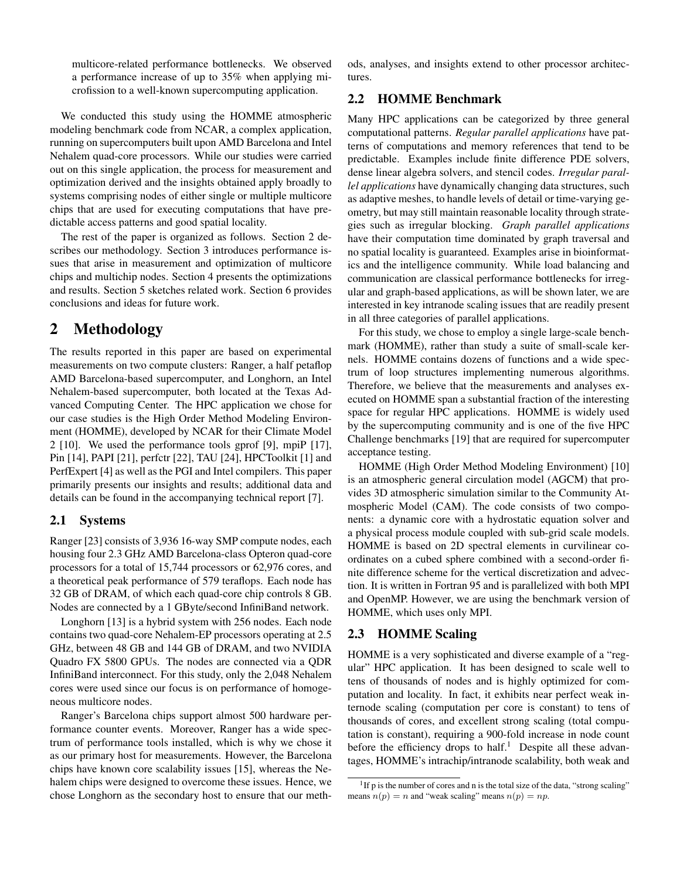multicore-related performance bottlenecks. We observed a performance increase of up to 35% when applying microfission to a well-known supercomputing application.

We conducted this study using the HOMME atmospheric modeling benchmark code from NCAR, a complex application, running on supercomputers built upon AMD Barcelona and Intel Nehalem quad-core processors. While our studies were carried out on this single application, the process for measurement and optimization derived and the insights obtained apply broadly to systems comprising nodes of either single or multiple multicore chips that are used for executing computations that have predictable access patterns and good spatial locality.

The rest of the paper is organized as follows. Section 2 describes our methodology. Section 3 introduces performance issues that arise in measurement and optimization of multicore chips and multichip nodes. Section 4 presents the optimizations and results. Section 5 sketches related work. Section 6 provides conclusions and ideas for future work.

# 2 Methodology

The results reported in this paper are based on experimental measurements on two compute clusters: Ranger, a half petaflop AMD Barcelona-based supercomputer, and Longhorn, an Intel Nehalem-based supercomputer, both located at the Texas Advanced Computing Center. The HPC application we chose for our case studies is the High Order Method Modeling Environment (HOMME), developed by NCAR for their Climate Model 2 [10]. We used the performance tools gprof [9], mpiP [17], Pin [14], PAPI [21], perfctr [22], TAU [24], HPCToolkit [1] and PerfExpert [4] as well as the PGI and Intel compilers. This paper primarily presents our insights and results; additional data and details can be found in the accompanying technical report [7].

### 2.1 Systems

Ranger [23] consists of 3,936 16-way SMP compute nodes, each housing four 2.3 GHz AMD Barcelona-class Opteron quad-core processors for a total of 15,744 processors or 62,976 cores, and a theoretical peak performance of 579 teraflops. Each node has 32 GB of DRAM, of which each quad-core chip controls 8 GB. Nodes are connected by a 1 GByte/second InfiniBand network.

Longhorn [13] is a hybrid system with 256 nodes. Each node contains two quad-core Nehalem-EP processors operating at 2.5 GHz, between 48 GB and 144 GB of DRAM, and two NVIDIA Quadro FX 5800 GPUs. The nodes are connected via a QDR InfiniBand interconnect. For this study, only the 2,048 Nehalem cores were used since our focus is on performance of homogeneous multicore nodes.

Ranger's Barcelona chips support almost 500 hardware performance counter events. Moreover, Ranger has a wide spectrum of performance tools installed, which is why we chose it as our primary host for measurements. However, the Barcelona chips have known core scalability issues [15], whereas the Nehalem chips were designed to overcome these issues. Hence, we chose Longhorn as the secondary host to ensure that our methods, analyses, and insights extend to other processor architectures.

### 2.2 HOMME Benchmark

Many HPC applications can be categorized by three general computational patterns. *Regular parallel applications* have patterns of computations and memory references that tend to be predictable. Examples include finite difference PDE solvers, dense linear algebra solvers, and stencil codes. *Irregular parallel applications* have dynamically changing data structures, such as adaptive meshes, to handle levels of detail or time-varying geometry, but may still maintain reasonable locality through strategies such as irregular blocking. *Graph parallel applications* have their computation time dominated by graph traversal and no spatial locality is guaranteed. Examples arise in bioinformatics and the intelligence community. While load balancing and communication are classical performance bottlenecks for irregular and graph-based applications, as will be shown later, we are interested in key intranode scaling issues that are readily present in all three categories of parallel applications.

For this study, we chose to employ a single large-scale benchmark (HOMME), rather than study a suite of small-scale kernels. HOMME contains dozens of functions and a wide spectrum of loop structures implementing numerous algorithms. Therefore, we believe that the measurements and analyses executed on HOMME span a substantial fraction of the interesting space for regular HPC applications. HOMME is widely used by the supercomputing community and is one of the five HPC Challenge benchmarks [19] that are required for supercomputer acceptance testing.

HOMME (High Order Method Modeling Environment) [10] is an atmospheric general circulation model (AGCM) that provides 3D atmospheric simulation similar to the Community Atmospheric Model (CAM). The code consists of two components: a dynamic core with a hydrostatic equation solver and a physical process module coupled with sub-grid scale models. HOMME is based on 2D spectral elements in curvilinear coordinates on a cubed sphere combined with a second-order finite difference scheme for the vertical discretization and advection. It is written in Fortran 95 and is parallelized with both MPI and OpenMP. However, we are using the benchmark version of HOMME, which uses only MPI.

### 2.3 HOMME Scaling

HOMME is a very sophisticated and diverse example of a "regular" HPC application. It has been designed to scale well to tens of thousands of nodes and is highly optimized for computation and locality. In fact, it exhibits near perfect weak internode scaling (computation per core is constant) to tens of thousands of cores, and excellent strong scaling (total computation is constant), requiring a 900-fold increase in node count before the efficiency drops to half.<sup>1</sup> Despite all these advantages, HOMME's intrachip/intranode scalability, both weak and

<sup>&</sup>lt;sup>1</sup>If p is the number of cores and n is the total size of the data, "strong scaling" means  $n(p) = n$  and "weak scaling" means  $n(p) = np$ .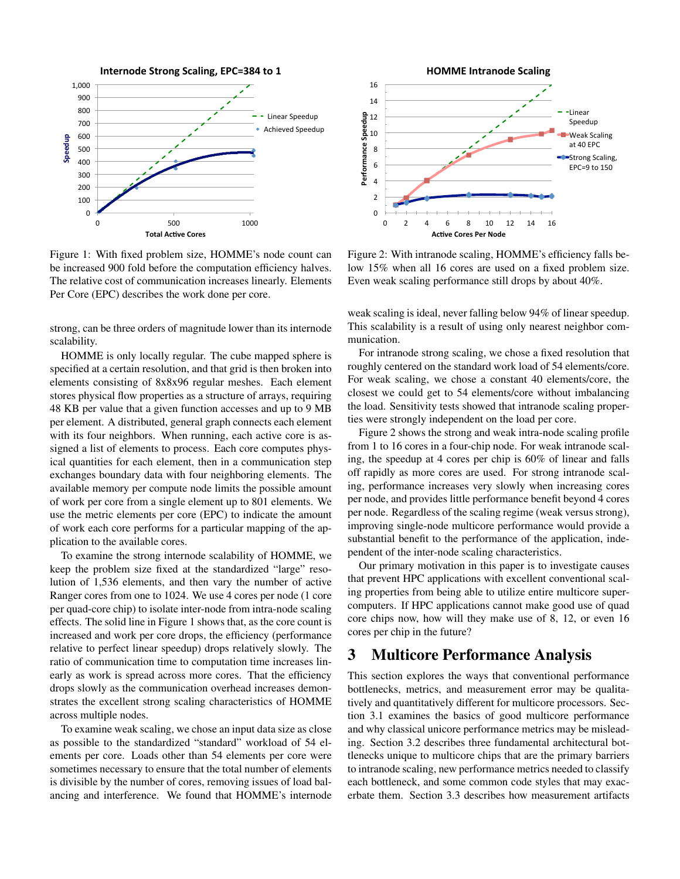

Figure 1: With fixed problem size, HOMME's node count can be increased 900 fold before the computation efficiency halves. The relative cost of communication increases linearly. Elements Per Core (EPC) describes the work done per core.

strong, can be three orders of magnitude lower than its internode scalability.

HOMME is only locally regular. The cube mapped sphere is specified at a certain resolution, and that grid is then broken into elements consisting of 8x8x96 regular meshes. Each element stores physical flow properties as a structure of arrays, requiring 48 KB per value that a given function accesses and up to 9 MB per element. A distributed, general graph connects each element with its four neighbors. When running, each active core is assigned a list of elements to process. Each core computes physical quantities for each element, then in a communication step exchanges boundary data with four neighboring elements. The available memory per compute node limits the possible amount of work per core from a single element up to 801 elements. We use the metric elements per core (EPC) to indicate the amount of work each core performs for a particular mapping of the application to the available cores. <sup>0</sup><br> **Example 1:** With fixed problem size, HOMME's node count can Figure<br>
Figure 1: With fixed problem size, HOMME's node count can Figure<br>
The relative cost of communication increass linearly. Elements Even we have<br>
The r

To examine the strong internode scalability of HOMME, we keep the problem size fixed at the standardized "large" resolution of 1,536 elements, and then vary the number of active Ranger cores from one to 1024. We use 4 cores per node (1 core per quad-core chip) to isolate inter-node from intra-node scaling effects. The solid line in Figure 1 shows that, as the core count is increased and work per core drops, the efficiency (performance relative to perfect linear speedup) drops relatively slowly. The ratio of communication time to computation time increases linearly as work is spread across more cores. That the efficiency drops slowly as the communication overhead increases demonstrates the excellent strong scaling characteristics of HOMME across multiple nodes.

To examine weak scaling, we chose an input data size as close as possible to the standardized "standard" workload of 54 elements per core. Loads other than 54 elements per core were sometimes necessary to ensure that the total number of elements is divisible by the number of cores, removing issues of load bal-



Figure 2: With intranode scaling, HOMME's efficiency falls below 15% when all 16 cores are used on a fixed problem size. Even weak scaling performance still drops by about 40%.

weak scaling is ideal, never falling below 94% of linear speedup. This scalability is a result of using only nearest neighbor communication.

For intranode strong scaling, we chose a fixed resolution that roughly centered on the standard work load of 54 elements/core. For weak scaling, we chose a constant 40 elements/core, the closest we could get to 54 elements/core without imbalancing the load. Sensitivity tests showed that intranode scaling properties were strongly independent on the load per core.

Figure 2 shows the strong and weak intra-node scaling profile from 1 to 16 cores in a four-chip node. For weak intranode scaling, the speedup at 4 cores per chip is 60% of linear and falls off rapidly as more cores are used. For strong intranode scaling, performance increases very slowly when increasing cores per node, and provides little performance benefit beyond 4 cores per node. Regardless of the scaling regime (weak versus strong), improving single-node multicore performance would provide a substantial benefit to the performance of the application, independent of the inter-node scaling characteristics.

Our primary motivation in this paper is to investigate causes that prevent HPC applications with excellent conventional scaling properties from being able to utilize entire multicore supercomputers. If HPC applications cannot make good use of quad core chips now, how will they make use of 8, 12, or even 16 cores per chip in the future?

# 3 Multicore Performance Analysis

This section explores the ways that conventional performance bottlenecks, metrics, and measurement error may be qualitatively and quantitatively different for multicore processors. Section 3.1 examines the basics of good multicore performance and why classical unicore performance metrics may be misleading. Section 3.2 describes three fundamental architectural bottlenecks unique to multicore chips that are the primary barriers to intranode scaling, new performance metrics needed to classify each bottleneck, and some common code styles that may exacerbate them. Section 3.3 describes how measurement artifacts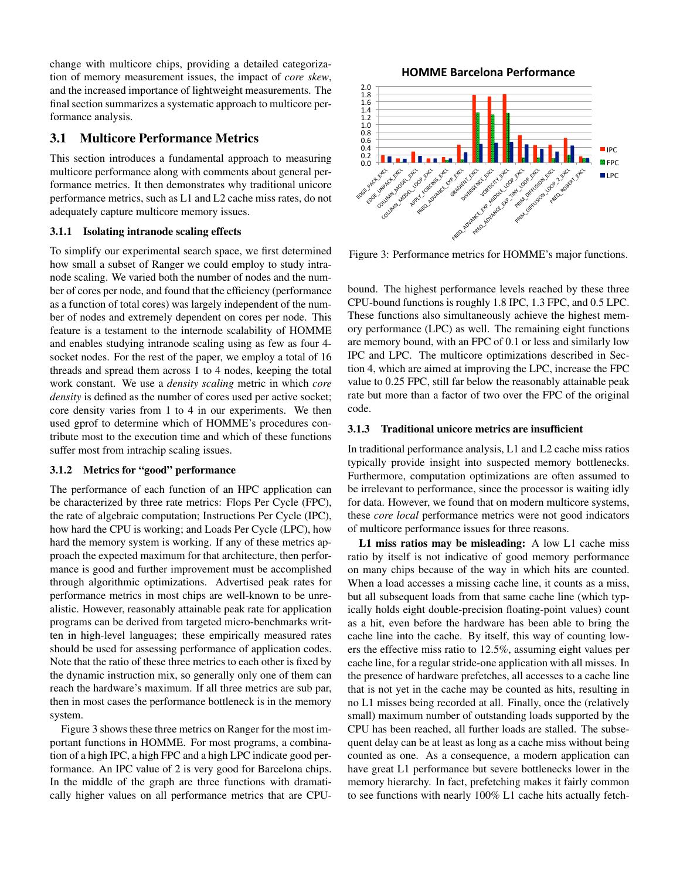change with multicore chips, providing a detailed categorization of memory measurement issues, the impact of *core skew*, and the increased importance of lightweight measurements. The final section summarizes a systematic approach to multicore performance analysis.

### 3.1 Multicore Performance Metrics

This section introduces a fundamental approach to measuring multicore performance along with comments about general performance metrics. It then demonstrates why traditional unicore performance metrics, such as L1 and L2 cache miss rates, do not adequately capture multicore memory issues.

#### 3.1.1 Isolating intranode scaling effects

To simplify our experimental search space, we first determined how small a subset of Ranger we could employ to study intranode scaling. We varied both the number of nodes and the number of cores per node, and found that the efficiency (performance as a function of total cores) was largely independent of the number of nodes and extremely dependent on cores per node. This feature is a testament to the internode scalability of HOMME and enables studying intranode scaling using as few as four 4 socket nodes. For the rest of the paper, we employ a total of 16 threads and spread them across 1 to 4 nodes, keeping the total work constant. We use a *density scaling* metric in which *core density* is defined as the number of cores used per active socket; core density varies from 1 to 4 in our experiments. We then used gprof to determine which of HOMME's procedures contribute most to the execution time and which of these functions suffer most from intrachip scaling issues.

#### 3.1.2 Metrics for "good" performance

The performance of each function of an HPC application can be characterized by three rate metrics: Flops Per Cycle (FPC), the rate of algebraic computation; Instructions Per Cycle (IPC), how hard the CPU is working; and Loads Per Cycle (LPC), how hard the memory system is working. If any of these metrics approach the expected maximum for that architecture, then performance is good and further improvement must be accomplished through algorithmic optimizations. Advertised peak rates for performance metrics in most chips are well-known to be unrealistic. However, reasonably attainable peak rate for application programs can be derived from targeted micro-benchmarks written in high-level languages; these empirically measured rates should be used for assessing performance of application codes. Note that the ratio of these three metrics to each other is fixed by the dynamic instruction mix, so generally only one of them can reach the hardware's maximum. If all three metrics are sub par, then in most cases the performance bottleneck is in the memory system.

Figure 3 shows these three metrics on Ranger for the most important functions in HOMME. For most programs, a combination of a high IPC, a high FPC and a high LPC indicate good performance. An IPC value of 2 is very good for Barcelona chips. In the middle of the graph are three functions with dramatically higher values on all performance metrics that are CPU-



Figure 3: Performance metrics for HOMME's major functions.

bound. The highest performance levels reached by these three CPU-bound functions is roughly 1.8 IPC, 1.3 FPC, and 0.5 LPC. These functions also simultaneously achieve the highest memory performance (LPC) as well. The remaining eight functions are memory bound, with an FPC of 0.1 or less and similarly low IPC and LPC. The multicore optimizations described in Section 4, which are aimed at improving the LPC, increase the FPC value to 0.25 FPC, still far below the reasonably attainable peak rate but more than a factor of two over the FPC of the original code.

#### 3.1.3 Traditional unicore metrics are insufficient

In traditional performance analysis, L1 and L2 cache miss ratios typically provide insight into suspected memory bottlenecks. Furthermore, computation optimizations are often assumed to be irrelevant to performance, since the processor is waiting idly for data. However, we found that on modern multicore systems, these *core local* performance metrics were not good indicators of multicore performance issues for three reasons.

L1 miss ratios may be misleading: A low L1 cache miss ratio by itself is not indicative of good memory performance on many chips because of the way in which hits are counted. When a load accesses a missing cache line, it counts as a miss, but all subsequent loads from that same cache line (which typically holds eight double-precision floating-point values) count as a hit, even before the hardware has been able to bring the cache line into the cache. By itself, this way of counting lowers the effective miss ratio to 12.5%, assuming eight values per cache line, for a regular stride-one application with all misses. In the presence of hardware prefetches, all accesses to a cache line that is not yet in the cache may be counted as hits, resulting in no L1 misses being recorded at all. Finally, once the (relatively small) maximum number of outstanding loads supported by the CPU has been reached, all further loads are stalled. The subsequent delay can be at least as long as a cache miss without being counted as one. As a consequence, a modern application can have great L1 performance but severe bottlenecks lower in the memory hierarchy. In fact, prefetching makes it fairly common to see functions with nearly 100% L1 cache hits actually fetch-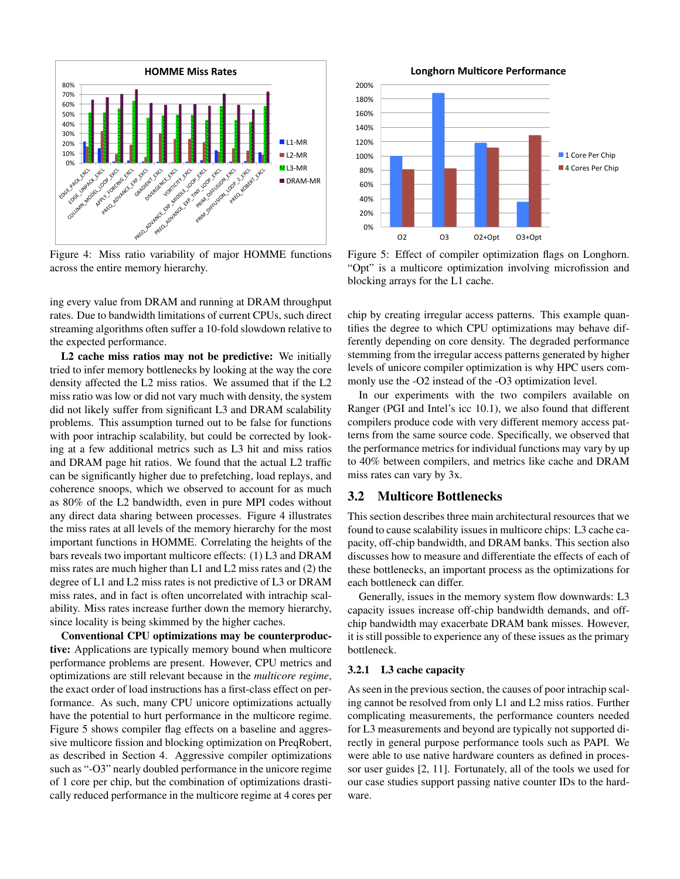

Figure 4: Miss ratio variability of major HOMME functions across the entire memory hierarchy.

ing every value from DRAM and running at DRAM throughput rates. Due to bandwidth limitations of current CPUs, such direct streaming algorithms often suffer a 10-fold slowdown relative to the expected performance.

L2 cache miss ratios may not be predictive: We initially tried to infer memory bottlenecks by looking at the way the core density affected the L2 miss ratios. We assumed that if the L2 miss ratio was low or did not vary much with density, the system did not likely suffer from significant L3 and DRAM scalability problems. This assumption turned out to be false for functions with poor intrachip scalability, but could be corrected by looking at a few additional metrics such as L3 hit and miss ratios and DRAM page hit ratios. We found that the actual L2 traffic can be significantly higher due to prefetching, load replays, and coherence snoops, which we observed to account for as much as 80% of the L2 bandwidth, even in pure MPI codes without any direct data sharing between processes. Figure 4 illustrates the miss rates at all levels of the memory hierarchy for the most important functions in HOMME. Correlating the heights of the bars reveals two important multicore effects: (1) L3 and DRAM miss rates are much higher than L1 and L2 miss rates and (2) the degree of L1 and L2 miss rates is not predictive of L3 or DRAM miss rates, and in fact is often uncorrelated with intrachip scalability. Miss rates increase further down the memory hierarchy, since locality is being skimmed by the higher caches.

Conventional CPU optimizations may be counterproductive: Applications are typically memory bound when multicore performance problems are present. However, CPU metrics and optimizations are still relevant because in the *multicore regime*, the exact order of load instructions has a first-class effect on performance. As such, many CPU unicore optimizations actually have the potential to hurt performance in the multicore regime. Figure 5 shows compiler flag effects on a baseline and aggressive multicore fission and blocking optimization on PreqRobert, as described in Section 4. Aggressive compiler optimizations such as "-O3" nearly doubled performance in the unicore regime of 1 core per chip, but the combination of optimizations drastically reduced performance in the multicore regime at 4 cores per



Figure 5: Effect of compiler optimization flags on Longhorn. "Opt" is a multicore optimization involving microfission and blocking arrays for the L1 cache.

chip by creating irregular access patterns. This example quantifies the degree to which CPU optimizations may behave differently depending on core density. The degraded performance stemming from the irregular access patterns generated by higher levels of unicore compiler optimization is why HPC users commonly use the -O2 instead of the -O3 optimization level.

In our experiments with the two compilers available on Ranger (PGI and Intel's icc 10.1), we also found that different compilers produce code with very different memory access patterns from the same source code. Specifically, we observed that the performance metrics for individual functions may vary by up to 40% between compilers, and metrics like cache and DRAM miss rates can vary by 3x.

### 3.2 Multicore Bottlenecks

This section describes three main architectural resources that we found to cause scalability issues in multicore chips: L3 cache capacity, off-chip bandwidth, and DRAM banks. This section also discusses how to measure and differentiate the effects of each of these bottlenecks, an important process as the optimizations for each bottleneck can differ.

Generally, issues in the memory system flow downwards: L3 capacity issues increase off-chip bandwidth demands, and offchip bandwidth may exacerbate DRAM bank misses. However, it is still possible to experience any of these issues as the primary bottleneck.

#### 3.2.1 L3 cache capacity

As seen in the previous section, the causes of poor intrachip scaling cannot be resolved from only L1 and L2 miss ratios. Further complicating measurements, the performance counters needed for L3 measurements and beyond are typically not supported directly in general purpose performance tools such as PAPI. We were able to use native hardware counters as defined in processor user guides [2, 11]. Fortunately, all of the tools we used for our case studies support passing native counter IDs to the hardware.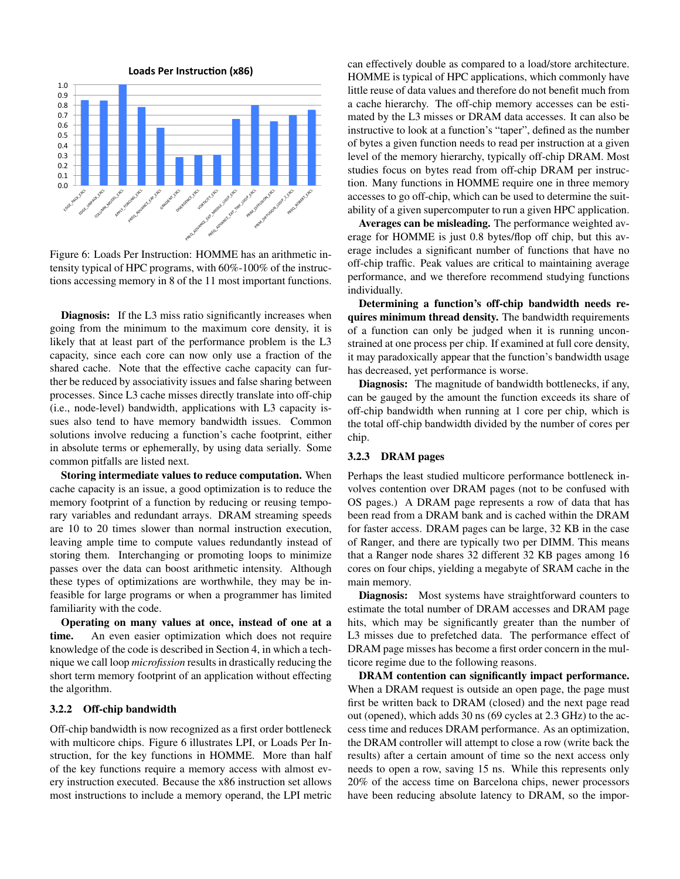

Figure 6: Loads Per Instruction: HOMME has an arithmetic intensity typical of HPC programs, with 60%-100% of the instructions accessing memory in 8 of the 11 most important functions.

**Diagnosis:** If the L3 miss ratio significantly increases when going from the minimum to the maximum core density, it is likely that at least part of the performance problem is the L3 capacity, since each core can now only use a fraction of the shared cache. Note that the effective cache capacity can further be reduced by associativity issues and false sharing between processes. Since L3 cache misses directly translate into off-chip (i.e., node-level) bandwidth, applications with L3 capacity issues also tend to have memory bandwidth issues. Common solutions involve reducing a function's cache footprint, either in absolute terms or ephemerally, by using data serially. Some common pitfalls are listed next.

Storing intermediate values to reduce computation. When cache capacity is an issue, a good optimization is to reduce the memory footprint of a function by reducing or reusing temporary variables and redundant arrays. DRAM streaming speeds are 10 to 20 times slower than normal instruction execution, leaving ample time to compute values redundantly instead of storing them. Interchanging or promoting loops to minimize passes over the data can boost arithmetic intensity. Although these types of optimizations are worthwhile, they may be infeasible for large programs or when a programmer has limited familiarity with the code.

Operating on many values at once, instead of one at a time. An even easier optimization which does not require knowledge of the code is described in Section 4, in which a technique we call loop *microfission* results in drastically reducing the short term memory footprint of an application without effecting the algorithm.

#### 3.2.2 Off-chip bandwidth

Off-chip bandwidth is now recognized as a first order bottleneck with multicore chips. Figure 6 illustrates LPI, or Loads Per Instruction, for the key functions in HOMME. More than half of the key functions require a memory access with almost every instruction executed. Because the x86 instruction set allows most instructions to include a memory operand, the LPI metric

can effectively double as compared to a load/store architecture. HOMME is typical of HPC applications, which commonly have little reuse of data values and therefore do not benefit much from a cache hierarchy. The off-chip memory accesses can be estimated by the L3 misses or DRAM data accesses. It can also be instructive to look at a function's "taper", defined as the number of bytes a given function needs to read per instruction at a given level of the memory hierarchy, typically off-chip DRAM. Most studies focus on bytes read from off-chip DRAM per instruction. Many functions in HOMME require one in three memory accesses to go off-chip, which can be used to determine the suitability of a given supercomputer to run a given HPC application.

Averages can be misleading. The performance weighted average for HOMME is just 0.8 bytes/flop off chip, but this average includes a significant number of functions that have no off-chip traffic. Peak values are critical to maintaining average performance, and we therefore recommend studying functions individually.

Determining a function's off-chip bandwidth needs requires minimum thread density. The bandwidth requirements of a function can only be judged when it is running unconstrained at one process per chip. If examined at full core density, it may paradoxically appear that the function's bandwidth usage has decreased, yet performance is worse.

Diagnosis: The magnitude of bandwidth bottlenecks, if any, can be gauged by the amount the function exceeds its share of off-chip bandwidth when running at 1 core per chip, which is the total off-chip bandwidth divided by the number of cores per chip.

#### 3.2.3 DRAM pages

Perhaps the least studied multicore performance bottleneck involves contention over DRAM pages (not to be confused with OS pages.) A DRAM page represents a row of data that has been read from a DRAM bank and is cached within the DRAM for faster access. DRAM pages can be large, 32 KB in the case of Ranger, and there are typically two per DIMM. This means that a Ranger node shares 32 different 32 KB pages among 16 cores on four chips, yielding a megabyte of SRAM cache in the main memory.

Diagnosis: Most systems have straightforward counters to estimate the total number of DRAM accesses and DRAM page hits, which may be significantly greater than the number of L3 misses due to prefetched data. The performance effect of DRAM page misses has become a first order concern in the multicore regime due to the following reasons.

DRAM contention can significantly impact performance. When a DRAM request is outside an open page, the page must first be written back to DRAM (closed) and the next page read out (opened), which adds 30 ns (69 cycles at 2.3 GHz) to the access time and reduces DRAM performance. As an optimization, the DRAM controller will attempt to close a row (write back the results) after a certain amount of time so the next access only needs to open a row, saving 15 ns. While this represents only 20% of the access time on Barcelona chips, newer processors have been reducing absolute latency to DRAM, so the impor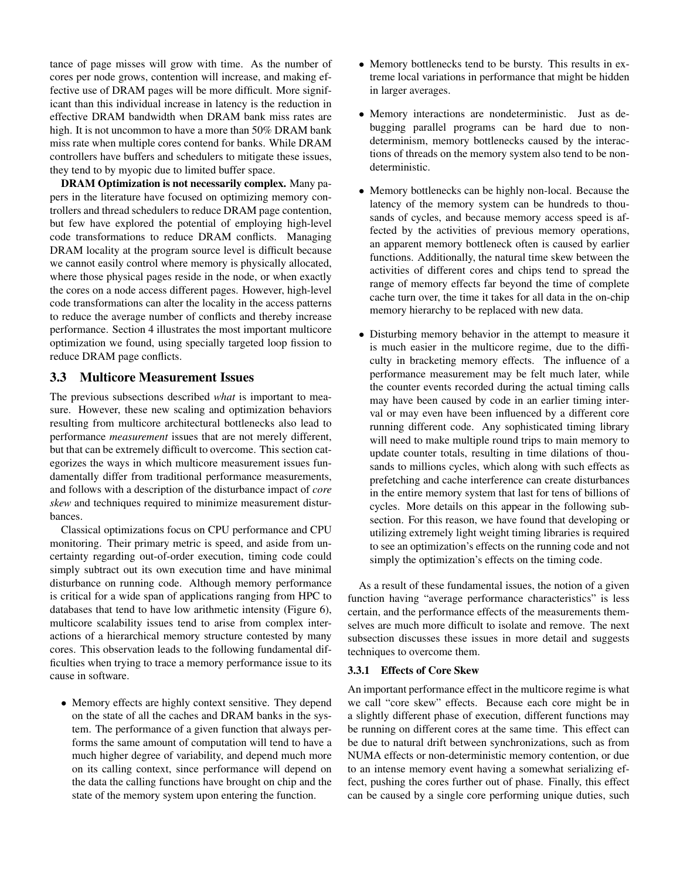tance of page misses will grow with time. As the number of cores per node grows, contention will increase, and making effective use of DRAM pages will be more difficult. More significant than this individual increase in latency is the reduction in effective DRAM bandwidth when DRAM bank miss rates are high. It is not uncommon to have a more than 50% DRAM bank miss rate when multiple cores contend for banks. While DRAM controllers have buffers and schedulers to mitigate these issues, they tend to by myopic due to limited buffer space.

DRAM Optimization is not necessarily complex. Many papers in the literature have focused on optimizing memory controllers and thread schedulers to reduce DRAM page contention, but few have explored the potential of employing high-level code transformations to reduce DRAM conflicts. Managing DRAM locality at the program source level is difficult because we cannot easily control where memory is physically allocated, where those physical pages reside in the node, or when exactly the cores on a node access different pages. However, high-level code transformations can alter the locality in the access patterns to reduce the average number of conflicts and thereby increase performance. Section 4 illustrates the most important multicore optimization we found, using specially targeted loop fission to reduce DRAM page conflicts.

### 3.3 Multicore Measurement Issues

The previous subsections described *what* is important to measure. However, these new scaling and optimization behaviors resulting from multicore architectural bottlenecks also lead to performance *measurement* issues that are not merely different, but that can be extremely difficult to overcome. This section categorizes the ways in which multicore measurement issues fundamentally differ from traditional performance measurements, and follows with a description of the disturbance impact of *core skew* and techniques required to minimize measurement disturbances.

Classical optimizations focus on CPU performance and CPU monitoring. Their primary metric is speed, and aside from uncertainty regarding out-of-order execution, timing code could simply subtract out its own execution time and have minimal disturbance on running code. Although memory performance is critical for a wide span of applications ranging from HPC to databases that tend to have low arithmetic intensity (Figure 6), multicore scalability issues tend to arise from complex interactions of a hierarchical memory structure contested by many cores. This observation leads to the following fundamental difficulties when trying to trace a memory performance issue to its cause in software.

• Memory effects are highly context sensitive. They depend on the state of all the caches and DRAM banks in the system. The performance of a given function that always performs the same amount of computation will tend to have a much higher degree of variability, and depend much more on its calling context, since performance will depend on the data the calling functions have brought on chip and the state of the memory system upon entering the function.

- Memory bottlenecks tend to be bursty. This results in extreme local variations in performance that might be hidden in larger averages.
- Memory interactions are nondeterministic. Just as debugging parallel programs can be hard due to nondeterminism, memory bottlenecks caused by the interactions of threads on the memory system also tend to be nondeterministic.
- Memory bottlenecks can be highly non-local. Because the latency of the memory system can be hundreds to thousands of cycles, and because memory access speed is affected by the activities of previous memory operations, an apparent memory bottleneck often is caused by earlier functions. Additionally, the natural time skew between the activities of different cores and chips tend to spread the range of memory effects far beyond the time of complete cache turn over, the time it takes for all data in the on-chip memory hierarchy to be replaced with new data.
- Disturbing memory behavior in the attempt to measure it is much easier in the multicore regime, due to the difficulty in bracketing memory effects. The influence of a performance measurement may be felt much later, while the counter events recorded during the actual timing calls may have been caused by code in an earlier timing interval or may even have been influenced by a different core running different code. Any sophisticated timing library will need to make multiple round trips to main memory to update counter totals, resulting in time dilations of thousands to millions cycles, which along with such effects as prefetching and cache interference can create disturbances in the entire memory system that last for tens of billions of cycles. More details on this appear in the following subsection. For this reason, we have found that developing or utilizing extremely light weight timing libraries is required to see an optimization's effects on the running code and not simply the optimization's effects on the timing code.

As a result of these fundamental issues, the notion of a given function having "average performance characteristics" is less certain, and the performance effects of the measurements themselves are much more difficult to isolate and remove. The next subsection discusses these issues in more detail and suggests techniques to overcome them.

#### 3.3.1 Effects of Core Skew

An important performance effect in the multicore regime is what we call "core skew" effects. Because each core might be in a slightly different phase of execution, different functions may be running on different cores at the same time. This effect can be due to natural drift between synchronizations, such as from NUMA effects or non-deterministic memory contention, or due to an intense memory event having a somewhat serializing effect, pushing the cores further out of phase. Finally, this effect can be caused by a single core performing unique duties, such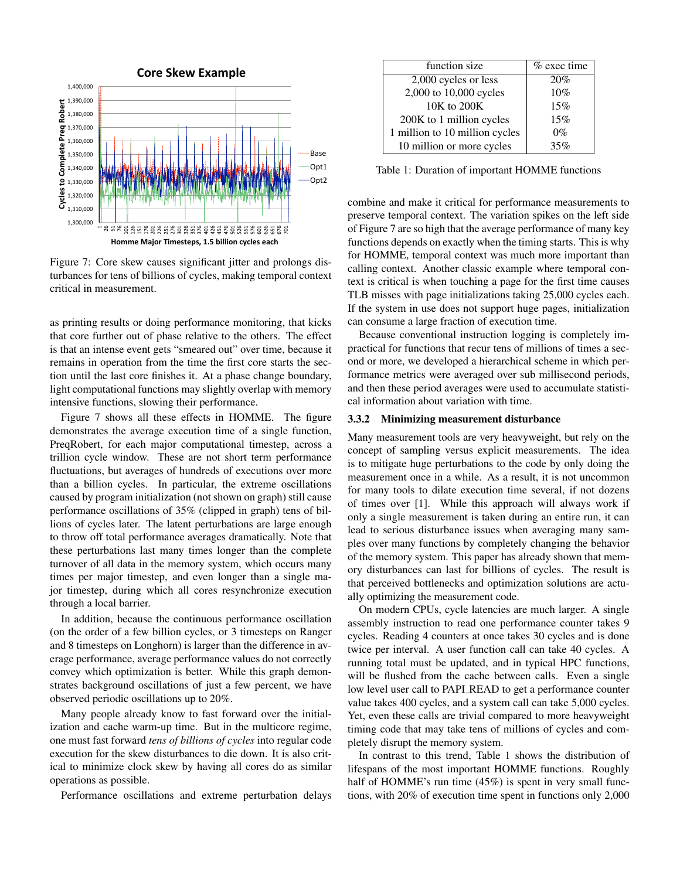

Figure 7: Core skew causes significant jitter and prolongs disturbances for tens of billions of cycles, making temporal context critical in measurement.

as printing results or doing performance monitoring, that kicks that core further out of phase relative to the others. The effect is that an intense event gets "smeared out" over time, because it remains in operation from the time the first core starts the section until the last core finishes it. At a phase change boundary, light computational functions may slightly overlap with memory intensive functions, slowing their performance.

Figure 7 shows all these effects in HOMME. The figure demonstrates the average execution time of a single function, PreqRobert, for each major computational timestep, across a trillion cycle window. These are not short term performance fluctuations, but averages of hundreds of executions over more than a billion cycles. In particular, the extreme oscillations caused by program initialization (not shown on graph) still cause performance oscillations of 35% (clipped in graph) tens of billions of cycles later. The latent perturbations are large enough to throw off total performance averages dramatically. Note that these perturbations last many times longer than the complete turnover of all data in the memory system, which occurs many times per major timestep, and even longer than a single major timestep, during which all cores resynchronize execution through a local barrier.

In addition, because the continuous performance oscillation (on the order of a few billion cycles, or 3 timesteps on Ranger and 8 timesteps on Longhorn) is larger than the difference in average performance, average performance values do not correctly convey which optimization is better. While this graph demonstrates background oscillations of just a few percent, we have observed periodic oscillations up to 20%.

Many people already know to fast forward over the initialization and cache warm-up time. But in the multicore regime, one must fast forward *tens of billions of cycles* into regular code execution for the skew disturbances to die down. It is also critical to minimize clock skew by having all cores do as similar operations as possible.

Performance oscillations and extreme perturbation delays

| function size                  | $%$ exec time |
|--------------------------------|---------------|
| 2,000 cycles or less           | 20%           |
| 2,000 to 10,000 cycles         | 10%           |
| 10K to 200K                    | 15%           |
| 200K to 1 million cycles       | 15%           |
| 1 million to 10 million cycles | $0\%$         |
| 10 million or more cycles      | 35%           |
|                                |               |

Table 1: Duration of important HOMME functions

combine and make it critical for performance measurements to preserve temporal context. The variation spikes on the left side of Figure 7 are so high that the average performance of many key functions depends on exactly when the timing starts. This is why for HOMME, temporal context was much more important than calling context. Another classic example where temporal context is critical is when touching a page for the first time causes TLB misses with page initializations taking 25,000 cycles each. If the system in use does not support huge pages, initialization can consume a large fraction of execution time.

Because conventional instruction logging is completely impractical for functions that recur tens of millions of times a second or more, we developed a hierarchical scheme in which performance metrics were averaged over sub millisecond periods, and then these period averages were used to accumulate statistical information about variation with time.

#### 3.3.2 Minimizing measurement disturbance

Many measurement tools are very heavyweight, but rely on the concept of sampling versus explicit measurements. The idea is to mitigate huge perturbations to the code by only doing the measurement once in a while. As a result, it is not uncommon for many tools to dilate execution time several, if not dozens of times over [1]. While this approach will always work if only a single measurement is taken during an entire run, it can lead to serious disturbance issues when averaging many samples over many functions by completely changing the behavior of the memory system. This paper has already shown that memory disturbances can last for billions of cycles. The result is that perceived bottlenecks and optimization solutions are actually optimizing the measurement code.

On modern CPUs, cycle latencies are much larger. A single assembly instruction to read one performance counter takes 9 cycles. Reading 4 counters at once takes 30 cycles and is done twice per interval. A user function call can take 40 cycles. A running total must be updated, and in typical HPC functions, will be flushed from the cache between calls. Even a single low level user call to PAPI READ to get a performance counter value takes 400 cycles, and a system call can take 5,000 cycles. Yet, even these calls are trivial compared to more heavyweight timing code that may take tens of millions of cycles and completely disrupt the memory system.

In contrast to this trend, Table 1 shows the distribution of lifespans of the most important HOMME functions. Roughly half of HOMME's run time (45%) is spent in very small functions, with 20% of execution time spent in functions only 2,000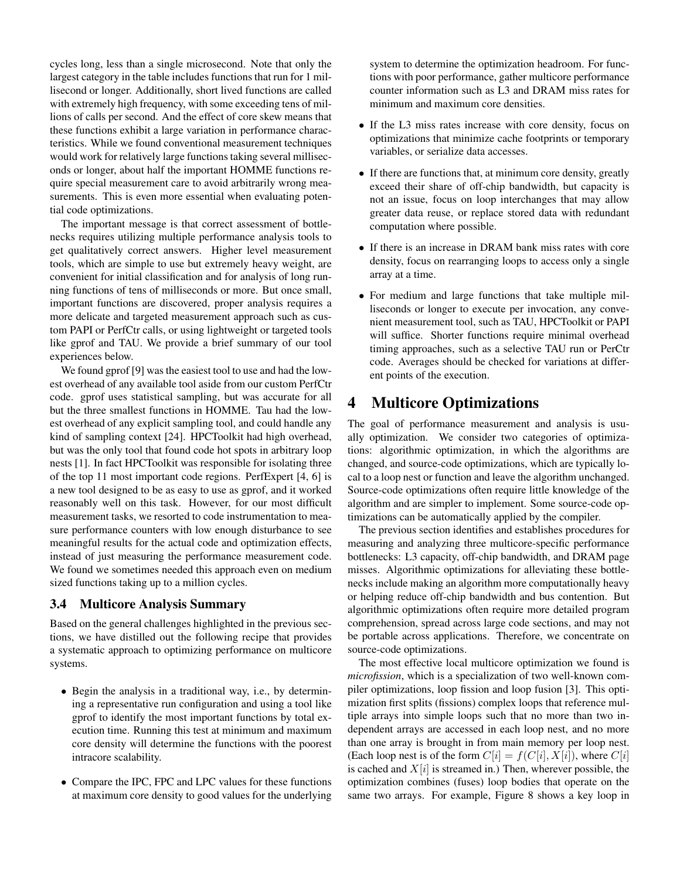cycles long, less than a single microsecond. Note that only the largest category in the table includes functions that run for 1 millisecond or longer. Additionally, short lived functions are called with extremely high frequency, with some exceeding tens of millions of calls per second. And the effect of core skew means that these functions exhibit a large variation in performance characteristics. While we found conventional measurement techniques would work for relatively large functions taking several milliseconds or longer, about half the important HOMME functions require special measurement care to avoid arbitrarily wrong measurements. This is even more essential when evaluating potential code optimizations.

The important message is that correct assessment of bottlenecks requires utilizing multiple performance analysis tools to get qualitatively correct answers. Higher level measurement tools, which are simple to use but extremely heavy weight, are convenient for initial classification and for analysis of long running functions of tens of milliseconds or more. But once small, important functions are discovered, proper analysis requires a more delicate and targeted measurement approach such as custom PAPI or PerfCtr calls, or using lightweight or targeted tools like gprof and TAU. We provide a brief summary of our tool experiences below.

We found gprof [9] was the easiest tool to use and had the lowest overhead of any available tool aside from our custom PerfCtr code. gprof uses statistical sampling, but was accurate for all but the three smallest functions in HOMME. Tau had the lowest overhead of any explicit sampling tool, and could handle any kind of sampling context [24]. HPCToolkit had high overhead, but was the only tool that found code hot spots in arbitrary loop nests [1]. In fact HPCToolkit was responsible for isolating three of the top 11 most important code regions. PerfExpert [4, 6] is a new tool designed to be as easy to use as gprof, and it worked reasonably well on this task. However, for our most difficult measurement tasks, we resorted to code instrumentation to measure performance counters with low enough disturbance to see meaningful results for the actual code and optimization effects, instead of just measuring the performance measurement code. We found we sometimes needed this approach even on medium sized functions taking up to a million cycles.

### 3.4 Multicore Analysis Summary

Based on the general challenges highlighted in the previous sections, we have distilled out the following recipe that provides a systematic approach to optimizing performance on multicore systems.

- Begin the analysis in a traditional way, i.e., by determining a representative run configuration and using a tool like gprof to identify the most important functions by total execution time. Running this test at minimum and maximum core density will determine the functions with the poorest intracore scalability.
- Compare the IPC, FPC and LPC values for these functions at maximum core density to good values for the underlying

system to determine the optimization headroom. For functions with poor performance, gather multicore performance counter information such as L3 and DRAM miss rates for minimum and maximum core densities.

- If the L3 miss rates increase with core density, focus on optimizations that minimize cache footprints or temporary variables, or serialize data accesses.
- If there are functions that, at minimum core density, greatly exceed their share of off-chip bandwidth, but capacity is not an issue, focus on loop interchanges that may allow greater data reuse, or replace stored data with redundant computation where possible.
- If there is an increase in DRAM bank miss rates with core density, focus on rearranging loops to access only a single array at a time.
- For medium and large functions that take multiple milliseconds or longer to execute per invocation, any convenient measurement tool, such as TAU, HPCToolkit or PAPI will suffice. Shorter functions require minimal overhead timing approaches, such as a selective TAU run or PerCtr code. Averages should be checked for variations at different points of the execution.

# 4 Multicore Optimizations

The goal of performance measurement and analysis is usually optimization. We consider two categories of optimizations: algorithmic optimization, in which the algorithms are changed, and source-code optimizations, which are typically local to a loop nest or function and leave the algorithm unchanged. Source-code optimizations often require little knowledge of the algorithm and are simpler to implement. Some source-code optimizations can be automatically applied by the compiler.

The previous section identifies and establishes procedures for measuring and analyzing three multicore-specific performance bottlenecks: L3 capacity, off-chip bandwidth, and DRAM page misses. Algorithmic optimizations for alleviating these bottlenecks include making an algorithm more computationally heavy or helping reduce off-chip bandwidth and bus contention. But algorithmic optimizations often require more detailed program comprehension, spread across large code sections, and may not be portable across applications. Therefore, we concentrate on source-code optimizations.

The most effective local multicore optimization we found is *microfission*, which is a specialization of two well-known compiler optimizations, loop fission and loop fusion [3]. This optimization first splits (fissions) complex loops that reference multiple arrays into simple loops such that no more than two independent arrays are accessed in each loop nest, and no more than one array is brought in from main memory per loop nest. (Each loop nest is of the form  $C[i] = f(C[i], X[i])$ , where  $C[i]$ is cached and  $X[i]$  is streamed in.) Then, wherever possible, the optimization combines (fuses) loop bodies that operate on the same two arrays. For example, Figure 8 shows a key loop in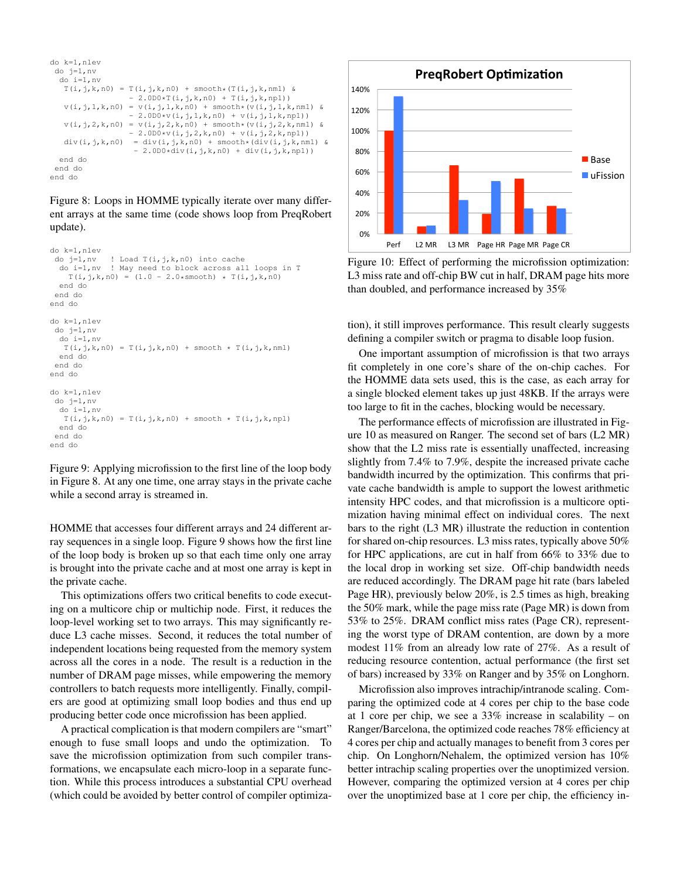```
do k=1,nlev
 do j=1,nv
  do i=1,nv
   T(i,j,k,n0) = T(i,j,k,n0) + \text{smooth}*(T(i,j,k,nm1) \&- 2.0D0*T(i,j,k,n0) + T(i,j,k,np1)v(i,j,1,k,n0) = v(i,j,1,k,n0) + smooth*(v(i,j,1,k,nm1) \&- 2.0D0*v(i,j,1,k,n0) + v(i,j,1,k,np1)v(i,j,2,k,n0) = v(i,j,2,k,n0) + smooth*(v(i,j,2,k,nm1) &
                   - 2.0D0*v(i,j,2,k,n0) + v(i,j,2,k,npl)div(i,j,k,n0) = div(i,j,k,n0) + smooth*(div(i,j,k,nm1) &<br>- 2.0D0*div(i,j,k,n0) + div(i,j,k,np1))
  end do
 end do
end do
```
Figure 8: Loops in HOMME typically iterate over many different arrays at the same time (code shows loop from PreqRobert update).

```
do k=1,nlev
do i=1, nv ! Load T(i,j,k,n0) into cache
  do i=1,nv ! May need to block across all loops in T
    T(i,j,k,n0) = (1.0 - 2.0*smooth) * T(i,j,k,n0)end do
end do
end do
do k=1,nlev
 do j=1,nv
  do i=1,nv
   \texttt{T}(i,j,k,n0) = \texttt{T}(i,j,k,n0) + \texttt{smooth} \times \texttt{T}(i,j,k,nm1)end do
 end do
end do
do k=1,nlev
 do j=1,nv
  do i=1,nv
   T(i,j,k,n0) = T(i,j,k,n0) + smooth * T(i,j,k,np1)end do
 end do
end do
```
Figure 9: Applying microfission to the first line of the loop body in Figure 8. At any one time, one array stays in the private cache while a second array is streamed in.

HOMME that accesses four different arrays and 24 different array sequences in a single loop. Figure 9 shows how the first line of the loop body is broken up so that each time only one array is brought into the private cache and at most one array is kept in the private cache.

This optimizations offers two critical benefits to code executing on a multicore chip or multichip node. First, it reduces the loop-level working set to two arrays. This may significantly reduce L3 cache misses. Second, it reduces the total number of independent locations being requested from the memory system across all the cores in a node. The result is a reduction in the number of DRAM page misses, while empowering the memory controllers to batch requests more intelligently. Finally, compilers are good at optimizing small loop bodies and thus end up producing better code once microfission has been applied.

A practical complication is that modern compilers are "smart" enough to fuse small loops and undo the optimization. To save the microfission optimization from such compiler transformations, we encapsulate each micro-loop in a separate function. While this process introduces a substantial CPU overhead (which could be avoided by better control of compiler optimiza-



Figure 10: Effect of performing the microfission optimization: L3 miss rate and off-chip BW cut in half, DRAM page hits more than doubled, and performance increased by 35%

tion), it still improves performance. This result clearly suggests defining a compiler switch or pragma to disable loop fusion.

One important assumption of microfission is that two arrays fit completely in one core's share of the on-chip caches. For the HOMME data sets used, this is the case, as each array for a single blocked element takes up just 48KB. If the arrays were too large to fit in the caches, blocking would be necessary.

The performance effects of microfission are illustrated in Figure 10 as measured on Ranger. The second set of bars (L2 MR) show that the L2 miss rate is essentially unaffected, increasing slightly from 7.4% to 7.9%, despite the increased private cache bandwidth incurred by the optimization. This confirms that private cache bandwidth is ample to support the lowest arithmetic intensity HPC codes, and that microfission is a multicore optimization having minimal effect on individual cores. The next bars to the right (L3 MR) illustrate the reduction in contention for shared on-chip resources. L3 miss rates, typically above 50% for HPC applications, are cut in half from 66% to 33% due to the local drop in working set size. Off-chip bandwidth needs are reduced accordingly. The DRAM page hit rate (bars labeled Page HR), previously below 20%, is 2.5 times as high, breaking the 50% mark, while the page miss rate (Page MR) is down from 53% to 25%. DRAM conflict miss rates (Page CR), representing the worst type of DRAM contention, are down by a more modest 11% from an already low rate of 27%. As a result of reducing resource contention, actual performance (the first set of bars) increased by 33% on Ranger and by 35% on Longhorn.

Microfission also improves intrachip/intranode scaling. Comparing the optimized code at 4 cores per chip to the base code at 1 core per chip, we see a 33% increase in scalability – on Ranger/Barcelona, the optimized code reaches 78% efficiency at 4 cores per chip and actually manages to benefit from 3 cores per chip. On Longhorn/Nehalem, the optimized version has 10% better intrachip scaling properties over the unoptimized version. However, comparing the optimized version at 4 cores per chip over the unoptimized base at 1 core per chip, the efficiency in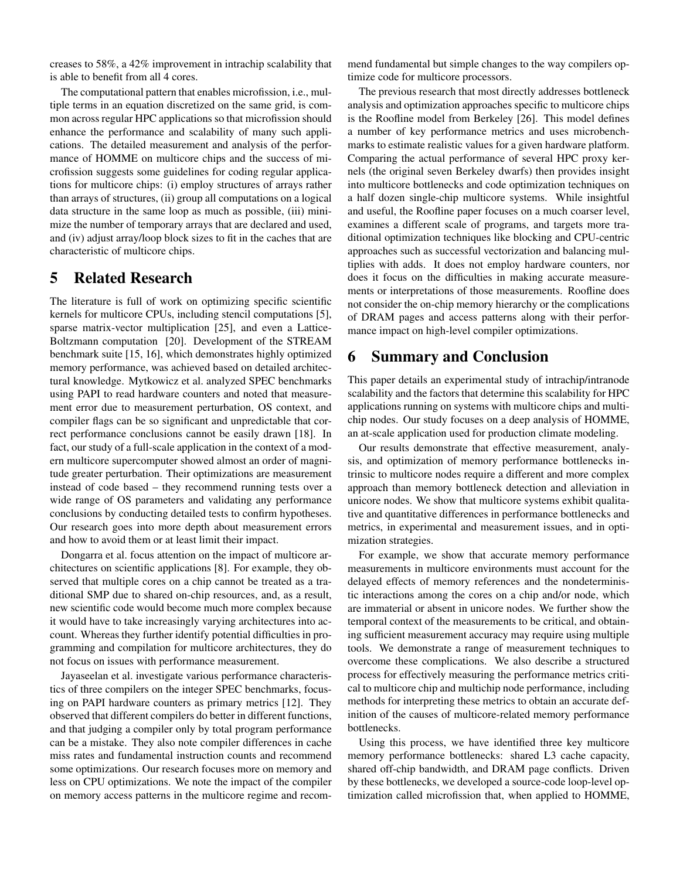creases to 58%, a 42% improvement in intrachip scalability that is able to benefit from all 4 cores.

The computational pattern that enables microfission, i.e., multiple terms in an equation discretized on the same grid, is common across regular HPC applications so that microfission should enhance the performance and scalability of many such applications. The detailed measurement and analysis of the performance of HOMME on multicore chips and the success of microfission suggests some guidelines for coding regular applications for multicore chips: (i) employ structures of arrays rather than arrays of structures, (ii) group all computations on a logical data structure in the same loop as much as possible, (iii) minimize the number of temporary arrays that are declared and used, and (iv) adjust array/loop block sizes to fit in the caches that are characteristic of multicore chips.

# 5 Related Research

The literature is full of work on optimizing specific scientific kernels for multicore CPUs, including stencil computations [5], sparse matrix-vector multiplication [25], and even a Lattice-Boltzmann computation [20]. Development of the STREAM benchmark suite [15, 16], which demonstrates highly optimized memory performance, was achieved based on detailed architectural knowledge. Mytkowicz et al. analyzed SPEC benchmarks using PAPI to read hardware counters and noted that measurement error due to measurement perturbation, OS context, and compiler flags can be so significant and unpredictable that correct performance conclusions cannot be easily drawn [18]. In fact, our study of a full-scale application in the context of a modern multicore supercomputer showed almost an order of magnitude greater perturbation. Their optimizations are measurement instead of code based – they recommend running tests over a wide range of OS parameters and validating any performance conclusions by conducting detailed tests to confirm hypotheses. Our research goes into more depth about measurement errors and how to avoid them or at least limit their impact.

Dongarra et al. focus attention on the impact of multicore architectures on scientific applications [8]. For example, they observed that multiple cores on a chip cannot be treated as a traditional SMP due to shared on-chip resources, and, as a result, new scientific code would become much more complex because it would have to take increasingly varying architectures into account. Whereas they further identify potential difficulties in programming and compilation for multicore architectures, they do not focus on issues with performance measurement.

Jayaseelan et al. investigate various performance characteristics of three compilers on the integer SPEC benchmarks, focusing on PAPI hardware counters as primary metrics [12]. They observed that different compilers do better in different functions, and that judging a compiler only by total program performance can be a mistake. They also note compiler differences in cache miss rates and fundamental instruction counts and recommend some optimizations. Our research focuses more on memory and less on CPU optimizations. We note the impact of the compiler on memory access patterns in the multicore regime and recommend fundamental but simple changes to the way compilers optimize code for multicore processors.

The previous research that most directly addresses bottleneck analysis and optimization approaches specific to multicore chips is the Roofline model from Berkeley [26]. This model defines a number of key performance metrics and uses microbenchmarks to estimate realistic values for a given hardware platform. Comparing the actual performance of several HPC proxy kernels (the original seven Berkeley dwarfs) then provides insight into multicore bottlenecks and code optimization techniques on a half dozen single-chip multicore systems. While insightful and useful, the Roofline paper focuses on a much coarser level, examines a different scale of programs, and targets more traditional optimization techniques like blocking and CPU-centric approaches such as successful vectorization and balancing multiplies with adds. It does not employ hardware counters, nor does it focus on the difficulties in making accurate measurements or interpretations of those measurements. Roofline does not consider the on-chip memory hierarchy or the complications of DRAM pages and access patterns along with their performance impact on high-level compiler optimizations.

# 6 Summary and Conclusion

This paper details an experimental study of intrachip/intranode scalability and the factors that determine this scalability for HPC applications running on systems with multicore chips and multichip nodes. Our study focuses on a deep analysis of HOMME, an at-scale application used for production climate modeling.

Our results demonstrate that effective measurement, analysis, and optimization of memory performance bottlenecks intrinsic to multicore nodes require a different and more complex approach than memory bottleneck detection and alleviation in unicore nodes. We show that multicore systems exhibit qualitative and quantitative differences in performance bottlenecks and metrics, in experimental and measurement issues, and in optimization strategies.

For example, we show that accurate memory performance measurements in multicore environments must account for the delayed effects of memory references and the nondeterministic interactions among the cores on a chip and/or node, which are immaterial or absent in unicore nodes. We further show the temporal context of the measurements to be critical, and obtaining sufficient measurement accuracy may require using multiple tools. We demonstrate a range of measurement techniques to overcome these complications. We also describe a structured process for effectively measuring the performance metrics critical to multicore chip and multichip node performance, including methods for interpreting these metrics to obtain an accurate definition of the causes of multicore-related memory performance bottlenecks.

Using this process, we have identified three key multicore memory performance bottlenecks: shared L3 cache capacity, shared off-chip bandwidth, and DRAM page conflicts. Driven by these bottlenecks, we developed a source-code loop-level optimization called microfission that, when applied to HOMME,